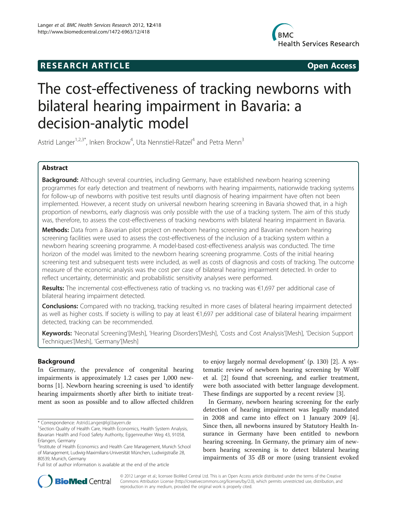# **RESEARCH ARTICLE Example 2014 CONSIDERING CONSIDERING CONSIDERING CONSIDERING CONSIDERING CONSIDERING CONSIDERING CONSIDERING CONSIDERING CONSIDERING CONSIDERING CONSIDERING CONSIDERING CONSIDERING CONSIDERING CONSIDE**



# The cost-effectiveness of tracking newborns with bilateral hearing impairment in Bavaria: a decision-analytic model

Astrid Langer<sup>1,2,3\*</sup>, Inken Brockow<sup>4</sup>, Uta Nennstiel-Ratzel<sup>4</sup> and Petra Menn<sup>3</sup>

# Abstract

Background: Although several countries, including Germany, have established newborn hearing screening programmes for early detection and treatment of newborns with hearing impairments, nationwide tracking systems for follow-up of newborns with positive test results until diagnosis of hearing impairment have often not been implemented. However, a recent study on universal newborn hearing screening in Bavaria showed that, in a high proportion of newborns, early diagnosis was only possible with the use of a tracking system. The aim of this study was, therefore, to assess the cost-effectiveness of tracking newborns with bilateral hearing impairment in Bavaria.

Methods: Data from a Bavarian pilot project on newborn hearing screening and Bavarian newborn hearing screening facilities were used to assess the cost-effectiveness of the inclusion of a tracking system within a newborn hearing screening programme. A model-based cost-effectiveness analysis was conducted. The time horizon of the model was limited to the newborn hearing screening programme. Costs of the initial hearing screening test and subsequent tests were included, as well as costs of diagnosis and costs of tracking. The outcome measure of the economic analysis was the cost per case of bilateral hearing impairment detected. In order to reflect uncertainty, deterministic and probabilistic sensitivity analyses were performed.

Results: The incremental cost-effectiveness ratio of tracking vs. no tracking was €1,697 per additional case of bilateral hearing impairment detected.

**Conclusions:** Compared with no tracking, tracking resulted in more cases of bilateral hearing impairment detected as well as higher costs. If society is willing to pay at least €1,697 per additional case of bilateral hearing impairment detected, tracking can be recommended.

Keywords: 'Neonatal Screening'[Mesh], 'Hearing Disorders'[Mesh], 'Costs and Cost Analysis'[Mesh], 'Decision Support Techniques'[Mesh], 'Germany'[Mesh]

# **Background**

In Germany, the prevalence of congenital hearing impairments is approximately 1.2 cases per 1,000 newborns [[1\]](#page-8-0). Newborn hearing screening is used 'to identify hearing impairments shortly after birth to initiate treatment as soon as possible and to allow affected children

to enjoy largely normal development' (p. 130) [\[2](#page-8-0)]. A systematic review of newborn hearing screening by Wolff et al. [[2\]](#page-8-0) found that screening, and earlier treatment, were both associated with better language development. These findings are supported by a recent review [[3\]](#page-8-0).

In Germany, newborn hearing screening for the early detection of hearing impairment was legally mandated in 2008 and came into effect on 1 January 2009 [\[4](#page-8-0)]. Since then, all newborns insured by Statutory Health Insurance in Germany have been entitled to newborn hearing screening. In Germany, the primary aim of newborn hearing screening is to detect bilateral hearing impairments of 35 dB or more (using transient evoked



© 2012 Langer et al.; licensee BioMed Central Ltd. This is an Open Access article distributed under the terms of the Creative Commons Attribution License [\(http://creativecommons.org/licenses/by/2.0\)](http://creativecommons.org/licenses/by/2.0), which permits unrestricted use, distribution, and reproduction in any medium, provided the original work is properly cited.

<sup>\*</sup> Correspondence: [Astrid.Langer@lgl.bayern.de](mailto:Astrid.Langer@lgl.bayern.de) <sup>1</sup>

<sup>&</sup>lt;sup>1</sup>Section Quality of Health Care, Health Economics, Health System Analysis, Bavarian Health and Food Safety Authority, Eggenreuther Weg 43, 91058, Erlangen, Germany

<sup>&</sup>lt;sup>2</sup>Institute of Health Economics and Health Care Management, Munich School of Management, Ludwig-Maximilians-Universität München, Ludwigstraße 28, 80539, Munich, Germany

Full list of author information is available at the end of the article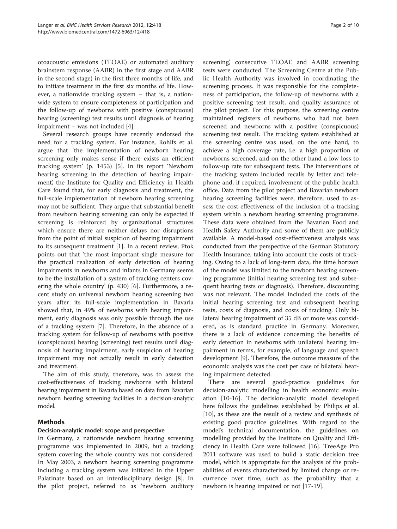otoacoustic emissions (TEOAE) or automated auditory brainstem response (AABR) in the first stage and AABR in the second stage) in the first three months of life, and to initiate treatment in the first six months of life. However, a nationwide tracking system – that is, a nationwide system to ensure completeness of participation and the follow-up of newborns with positive (conspicuous) hearing (screening) test results until diagnosis of hearing impairment – was not included [\[4](#page-8-0)].

Several research groups have recently endorsed the need for a tracking system. For instance, Rohlfs et al. argue that 'the implementation of newborn hearing screening only makes sense if there exists an efficient tracking system' (p. 1453) [\[5](#page-8-0)]. In its report 'Newborn hearing screening in the detection of hearing impairment', the Institute for Quality and Efficiency in Health Care found that, for early diagnosis and treatment, the full-scale implementation of newborn hearing screening may not be sufficient. They argue that substantial benefit from newborn hearing screening can only be expected if screening is reinforced by organizational structures which ensure there are neither delays nor disruptions from the point of initial suspicion of hearing impairment to its subsequent treatment [\[1](#page-8-0)]. In a recent review, Ptok points out that 'the most important single measure for the practical realization of early detection of hearing impairments in newborns and infants in Germany seems to be the installation of a system of tracking centers covering the whole country' (p. 430) [[6\]](#page-8-0). Furthermore, a recent study on universal newborn hearing screening two years after its full-scale implementation in Bavaria showed that, in 49% of newborns with hearing impairment, early diagnosis was only possible through the use of a tracking system [[7\]](#page-8-0). Therefore, in the absence of a tracking system for follow-up of newborns with positive (conspicuous) hearing (screening) test results until diagnosis of hearing impairment, early suspicion of hearing impairment may not actually result in early detection and treatment.

The aim of this study, therefore, was to assess the cost-effectiveness of tracking newborns with bilateral hearing impairment in Bavaria based on data from Bavarian newborn hearing screening facilities in a decision-analytic model.

# Methods

# Decision-analytic model: scope and perspective

In Germany, a nationwide newborn hearing screening programme was implemented in 2009, but a tracking system covering the whole country was not considered. In May 2003, a newborn hearing screening programme including a tracking system was initiated in the Upper Palatinate based on an interdisciplinary design [\[8](#page-8-0)]. In the pilot project, referred to as 'newborn auditory

screening', consecutive TEOAE and AABR screening tests were conducted. The Screening Centre at the Public Health Authority was involved in coordinating the screening process. It was responsible for the completeness of participation, the follow-up of newborns with a positive screening test result, and quality assurance of the pilot project. For this purpose, the screening centre maintained registers of newborns who had not been screened and newborns with a positive (conspicuous) screening test result. The tracking system established at the screening centre was used, on the one hand, to achieve a high coverage rate, i.e. a high proportion of newborns screened, and on the other hand a low loss to follow-up rate for subsequent tests. The interventions of the tracking system included recalls by letter and telephone and, if required, involvement of the public health office. Data from the pilot project and Bavarian newborn hearing screening facilities were, therefore, used to assess the cost-effectiveness of the inclusion of a tracking system within a newborn hearing screening programme. These data were obtained from the Bavarian Food and Health Safety Authority and some of them are publicly available. A model-based cost-effectiveness analysis was conducted from the perspective of the German Statutory Health Insurance, taking into account the costs of tracking. Owing to a lack of long-term data, the time horizon of the model was limited to the newborn hearing screening programme (initial hearing screening test and subsequent hearing tests or diagnosis). Therefore, discounting was not relevant. The model included the costs of the initial hearing screening test and subsequent hearing tests, costs of diagnosis, and costs of tracking. Only bilateral hearing impairment of 35 dB or more was considered, as is standard practice in Germany. Moreover, there is a lack of evidence concerning the benefits of early detection in newborns with unilateral hearing impairment in terms, for example, of language and speech development [[9\]](#page-8-0). Therefore, the outcome measure of the economic analysis was the cost per case of bilateral hearing impairment detected.

There are several good-practice guidelines for decision-analytic modelling in health economic evaluation [[10-16\]](#page-9-0). The decision-analytic model developed here follows the guidelines established by Philips et al. [[10\]](#page-9-0), as these are the result of a review and synthesis of existing good practice guidelines. With regard to the model's technical documentation, the guidelines on modelling provided by the Institute on Quality and Efficiency in Health Care were followed [[16\]](#page-9-0). TreeAge Pro 2011 software was used to build a static decision tree model, which is appropriate for the analysis of the probabilities of events characterized by limited change or recurrence over time, such as the probability that a newborn is hearing impaired or not [\[17-19](#page-9-0)].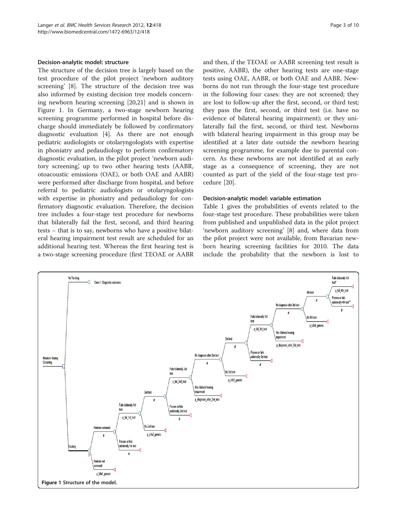#### Decision-analytic model: structure

The structure of the decision tree is largely based on the test procedure of the pilot project 'newborn auditory screening' [[8\]](#page-8-0). The structure of the decision tree was also informed by existing decision tree models concerning newborn hearing screening [[20,21\]](#page-9-0) and is shown in Figure 1. In Germany, a two-stage newborn hearing screening programme performed in hospital before discharge should immediately be followed by confirmatory diagnostic evaluation [\[4\]](#page-8-0). As there are not enough pediatric audiologists or otolaryngologists with expertise in phoniatry and pedaudiology to perform confirmatory diagnostic evaluation, in the pilot project 'newborn auditory screening', up to two other hearing tests (AABR, otoacoustic emissions (OAE), or both OAE and AABR) were performed after discharge from hospital, and before referral to pediatric audiologists or otolaryngologists with expertise in phoniatry and pedaudiology for confirmatory diagnostic evaluation. Therefore, the decision tree includes a four-stage test procedure for newborns that bilaterally fail the first, second, and third hearing tests – that is to say, newborns who have a positive bilateral hearing impairment test result are scheduled for an additional hearing test. Whereas the first hearing test is a two-stage screening procedure (first TEOAE or AABR and then, if the TEOAE or AABR screening test result is positive, AABR), the other hearing tests are one-stage tests using OAE, AABR, or both OAE and AABR. Newborns do not run through the four-stage test procedure in the following four cases: they are not screened; they are lost to follow-up after the first, second, or third test; they pass the first, second, or third test (i.e. have no evidence of bilateral hearing impairment); or they unilaterally fail the first, second, or third test. Newborns with bilateral hearing impairment in this group may be identified at a later date outside the newborn hearing screening programme, for example due to parental concern. As these newborns are not identified at an early stage as a consequence of screening, they are not counted as part of the yield of the four-stage test procedure [[20\]](#page-9-0).

#### Decision-analytic model: variable estimation

Table [1](#page-3-0) gives the probabilities of events related to the four-stage test procedure. These probabilities were taken from published and unpublished data in the pilot project 'newborn auditory screening' [[8\]](#page-8-0) and, where data from the pilot project were not available, from Bavarian newborn hearing screening facilities for 2010. The data include the probability that the newborn is lost to

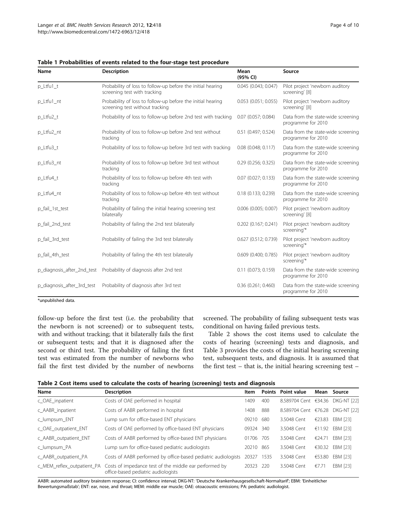| Name                       | <b>Description</b>                                                                             | Mean<br>(95% CI)         | Source                                                    |
|----------------------------|------------------------------------------------------------------------------------------------|--------------------------|-----------------------------------------------------------|
| p_Ltfu1_t                  | Probability of loss to follow-up before the initial hearing<br>screening test with tracking    | $0.045$ (0.043; 0.047)   | Pilot project 'newborn auditory<br>screening' [8]         |
| p_Ltfu1_nt                 | Probability of loss to follow-up before the initial hearing<br>screening test without tracking | $0.053$ $(0.051; 0.055)$ | Pilot project 'newborn auditory<br>screening' [8]         |
| p_Ltfu2_t                  | Probability of loss to follow-up before 2nd test with tracking                                 | $0.07$ (0.057; 0.084)    | Data from the state-wide screening<br>programme for 2010  |
| p_Ltfu2_nt                 | Probability of loss to follow-up before 2nd test without<br>tracking                           | 0.51 (0.497; 0.524)      | Data from the state-wide screening<br>programme for 2010  |
| p_Ltfu3_t                  | Probability of loss to follow-up before 3rd test with tracking                                 | 0.08 (0.048; 0.117)      | Data from the state-wide screening<br>programme for 2010  |
| p_Ltfu3_nt                 | Probability of loss to follow-up before 3rd test without<br>tracking                           | $0.29$ (0.256; 0.325)    | Data from the state-wide screening<br>programme for 2010  |
| p_Ltfu4_t                  | Probability of loss to follow-up before 4th test with<br>tracking                              | $0.07$ (0.027; 0.133)    | Data from the state-wide screening<br>programme for 2010  |
| p_Ltfu4_nt                 | Probability of loss to follow-up before 4th test without<br>tracking                           | 0.18 (0.133; 0.239)      | Data from the state-wide screening<br>programme for 2010  |
| p_fail_1st_test            | Probability of failing the initial hearing screening test<br>bilaterally                       | 0.006 (0.005; 0.007)     | Pilot project 'newborn auditory<br>screening' [8]         |
| p_fail_2nd_test            | Probability of failing the 2nd test bilaterally                                                | $0.202$ (0.167; 0.241)   | Pilot project 'newborn auditory<br>screening <sup>*</sup> |
| p_fail_3rd_test            | Probability of failing the 3rd test bilaterally                                                | 0.627 (0.512; 0.739)     | Pilot project 'newborn auditory<br>screening <sup>*</sup> |
| p_fail_4th_test            | Probability of failing the 4th test bilaterally                                                | 0.609 (0.400; 0.785)     | Pilot project 'newborn auditory<br>screening <sup>*</sup> |
| p_diagnosis_after_2nd_test | Probability of diagnosis after 2nd test                                                        | $0.11$ $(0.073; 0.159)$  | Data from the state-wide screening<br>programme for 2010  |
| p_diagnosis_after_3rd_test | Probability of diagnosis after 3rd test                                                        | $0.36$ $(0.261; 0.460)$  | Data from the state-wide screening<br>programme for 2010  |

<span id="page-3-0"></span>Table 1 Probabilities of events related to the four-stage test procedure

\*unpublished data.

follow-up before the first test (i.e. the probability that the newborn is not screened) or to subsequent tests, with and without tracking; that it bilaterally fails the first or subsequent tests; and that it is diagnosed after the second or third test. The probability of failing the first test was estimated from the number of newborns who fail the first test divided by the number of newborns screened. The probability of failing subsequent tests was conditional on having failed previous tests.

Table 2 shows the cost items used to calculate the costs of hearing (screening) tests and diagnosis, and Table [3](#page-4-0) provides the costs of the initial hearing screening test, subsequent tests, and diagnosis. It is assumed that the first test – that is, the initial hearing screening test –

|  |  |  |  | Table 2 Cost items used to calculate the costs of hearing (screening) tests and diagnosis |
|--|--|--|--|-------------------------------------------------------------------------------------------|
|--|--|--|--|-------------------------------------------------------------------------------------------|

| Name                  | <b>Description</b>                                                                                                       | Item       | Points | <b>Point value</b>               | Mean   | Source          |
|-----------------------|--------------------------------------------------------------------------------------------------------------------------|------------|--------|----------------------------------|--------|-----------------|
| c_OAE_inpatient       | Costs of OAE performed in hospital                                                                                       | 1409       | 400    | 8.589704 Cent €34.36 DKG-NT [22] |        |                 |
| c_AABR_inpatient      | Costs of AABR performed in hospital                                                                                      | 1408       | 888    | 8.589704 Cent €76.28 DKG-NT [22] |        |                 |
| c_lumpsum_ENT         | Lump sum for office-based ENT physicians                                                                                 | 09210 680  |        | 3.5048 Cent                      | €23.83 | <b>EBM [23]</b> |
| c_OAE_outpatient_ENT  | Costs of OAE performed by office-based ENT physicians                                                                    | 09324      | 340    | 3.5048 Cent                      | €11.92 | <b>EBM [23]</b> |
| c AABR outpatient ENT | Costs of AABR performed by office-based ENT physicians                                                                   | 01706 705  |        | 3.5048 Cent                      | €24.71 | <b>EBM [23]</b> |
| c_lumpsum_PA          | Lump sum for office-based pediatric audiologists                                                                         | 20210 865  |        | 3.5048 Cent                      | €30.32 | EBM [23]        |
| c_AABR_outpatient_PA  | Costs of AABR performed by office-based pediatric audiologists                                                           | 20327 1535 |        | 3.5048 Cent                      | €53.80 | <b>EBM [23]</b> |
|                       | c_MEM_reflex_outpatient_PA Costs of impedance test of the middle ear performed by<br>office-based pediatric audiologists | 20323      | 220    | 3.5048 Cent                      | €7.71  | <b>EBM [23]</b> |

AABR: automated auditory brainstem response; CI: confidence interval; DKG-NT: 'Deutsche Krankenhausgesellschaft-Normaltarif'; EBM: 'Einheitlicher Bewertungsmaßstab'; ENT: ear, nose, and throat; MEM: middle ear muscle; OAE: otoacoustic emissions; PA: pediatric audiologist.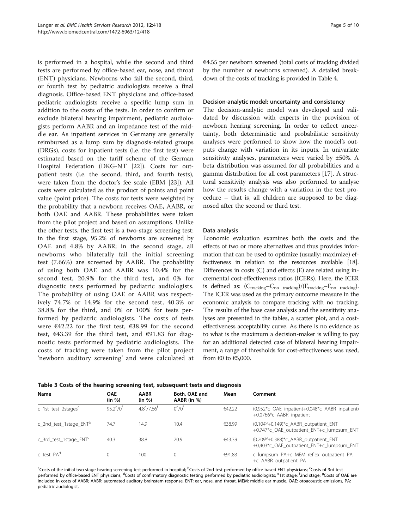<span id="page-4-0"></span>is performed in a hospital, while the second and third tests are performed by office-based ear, nose, and throat (ENT) physicians. Newborns who fail the second, third, or fourth test by pediatric audiologists receive a final diagnosis. Office-based ENT physicians and office-based pediatric audiologists receive a specific lump sum in addition to the costs of the tests. In order to confirm or exclude bilateral hearing impairment, pediatric audiologists perform AABR and an impedance test of the middle ear. As inpatient services in Germany are generally reimbursed as a lump sum by diagnosis-related groups (DRGs), costs for inpatient tests (i.e. the first test) were estimated based on the tariff scheme of the German Hospital Federation (DKG-NT [\[22](#page-9-0)]). Costs for outpatient tests (i.e. the second, third, and fourth tests), were taken from the doctor's fee scale (EBM [[23\]](#page-9-0)). All costs were calculated as the product of points and point value (point price). The costs for tests were weighted by the probability that a newborn receives OAE, AABR, or both OAE and AABR. These probabilities were taken from the pilot project and based on assumptions. Unlike the other tests, the first test is a two-stage screening test: in the first stage, 95.2% of newborns are screened by OAE and 4.8% by AABR; in the second stage, all newborns who bilaterally fail the initial screening test (7.66%) are screened by AABR. The probability of using both OAE and AABR was 10.4% for the second test, 20.9% for the third test, and 0% for diagnostic tests performed by pediatric audiologists. The probability of using OAE or AABR was respectively 74.7% or 14.9% for the second test, 40.3% or 38.8% for the third, and 0% or 100% for tests performed by pediatric audiologists. The costs of tests were €42.22 for the first test, €38.99 for the second test, €43.39 for the third test, and €91.83 for diagnostic tests performed by pediatric audiologists. The costs of tracking were taken from the pilot project 'newborn auditory screening' and were calculated at €4.55 per newborn screened (total costs of tracking divided by the number of newborns screened). A detailed breakdown of the costs of tracking is provided in Table [4.](#page-5-0)

#### Decision-analytic model: uncertainty and consistency

The decision-analytic model was developed and validated by discussion with experts in the provision of newborn hearing screening. In order to reflect uncertainty, both deterministic and probabilistic sensitivity analyses were performed to show how the model's outputs change with variation in its inputs. In univariate sensitivity analyses, parameters were varied by ±50%. A beta distribution was assumed for all probabilities and a gamma distribution for all cost parameters [\[17](#page-9-0)]. A structural sensitivity analysis was also performed to analyse how the results change with a variation in the test procedure – that is, all children are supposed to be diagnosed after the second or third test.

#### Data analysis

Economic evaluation examines both the costs and the effects of two or more alternatives and thus provides information that can be used to optimize (usually: maximize) effectiveness in relation to the resources available [\[18](#page-9-0)]. Differences in costs (C) and effects (E) are related using incremental cost-effectiveness ratios (ICERs). Here, the ICER is defined as:  $(C_{\text{tracking}} - C_{\text{no tracking}})/(E_{\text{tracking}} - E_{\text{no tracking}})$ . The ICER was used as the primary outcome measure in the economic analysis to compare tracking with no tracking. The results of the base case analysis and the sensitivity analyses are presented in the tables, a scatter plot, and a costeffectiveness acceptability curve. As there is no evidence as to what is the maximum a decision-maker is willing to pay for an additional detected case of bilateral hearing impairment, a range of thresholds for cost-effectiveness was used, from €0 to €5,000.

Table 3 Costs of the hearing screening test, subsequent tests and diagnosis

| Name                               | <b>OAE</b><br>(in %)     | <b>AABR</b><br>(in %)      | Both, OAE and<br>AABR (in %) | Mean   | Comment                                                                              |
|------------------------------------|--------------------------|----------------------------|------------------------------|--------|--------------------------------------------------------------------------------------|
| c 1st test 2stages <sup>a</sup>    | $95.2^{\circ}/0^{\circ}$ | $4.8^{\circ}/7.66^{\circ}$ | $0^\mathrm{e}/0^\mathrm{t}$  | €42.22 | (0.952*c_OAE_inpatient+0.048*c_AABR_inpatient)<br>+0.0766*c AABR inpatient           |
| c 2nd test 1stage ENT <sup>o</sup> | 74.7                     | 14.9                       | 10.4                         | €38.99 | $(0.1049+0.149)*$ c AABR outpatient ENT<br>+0.747*c_OAE_outpatient_ENT+c_lumpsum_ENT |
| c_3rd_test_1stage_ENTC             | 40.3                     | 38.8                       | 20.9                         | €43.39 | $(0.2099+0.388)*c$ AABR outpatient ENT<br>+0,403*c OAE outpatient ENT+c lumpsum ENT  |
| c test PA <sup>d</sup>             |                          | 100                        | 0                            | €91.83 | c_lumpsum_PA+c_MEM_reflex_outpatient_PA<br>+c_AABR_outpatient_PA                     |

<sup>a</sup>Costs of the initial two-stage hearing screening test performed in hospital; <sup>b</sup>Costs of 2nd test performed by office-based ENT physicians; <sup>c</sup>Costs of 3rd test performed by office-based ENT physicians; <sup>d</sup>Costs of confirmatory diagnostic testing performed by pediatric audiologists; <sup>e</sup>1st stage; <sup>f</sup>2nd stage; <sup>g</sup>Costs of OAE are included in costs of AABR; AABR: automated auditory brainstem response, ENT: ear, nose, and throat, MEM: middle ear muscle, OAE: otoacoustic emissions, PA: pediatric audiologist.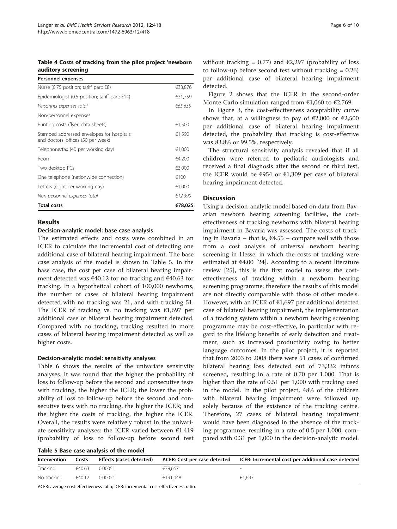<span id="page-5-0"></span>Table 4 Costs of tracking from the pilot project 'newborn auditory screening

| Personnel expenses                                                              |         |
|---------------------------------------------------------------------------------|---------|
| Nurse (0.75 position; tariff part: E8)                                          | €33,876 |
| Epidemiologist (0.5 position; tariff part: E14)                                 | €31,759 |
| Personnel expenses total                                                        | €65,635 |
| Non-personnel expenses                                                          |         |
| Printing costs (flyer, data sheets)                                             | €1,500  |
| Stamped addressed envelopes for hospitals<br>and doctors' offices (50 per week) | €1,590  |
| Telephone/fax (40 per working day)                                              | €1,000  |
| Room                                                                            | €4,200  |
| Two desktop PCs                                                                 | €3,000  |
| One telephone (nationwide connection)                                           | €100    |
| Letters (eight per working day)                                                 | €1,000  |
| Non-personnel expenses total                                                    | €12,390 |
| <b>Total costs</b>                                                              | €78,025 |

# Results

#### Decision-analytic model: base case analysis

The estimated effects and costs were combined in an ICER to calculate the incremental cost of detecting one additional case of bilateral hearing impairment. The base case analysis of the model is shown in Table 5. In the base case, the cost per case of bilateral hearing impairment detected was  $\epsilon$ 40.12 for no tracking and  $\epsilon$ 40.63 for tracking. In a hypothetical cohort of 100,000 newborns, the number of cases of bilateral hearing impairment detected with no tracking was 21, and with tracking 51. The ICER of tracking vs. no tracking was  $\epsilon$ 1,697 per additional case of bilateral hearing impairment detected. Compared with no tracking, tracking resulted in more cases of bilateral hearing impairment detected as well as higher costs.

#### Decision-analytic model: sensitivity analyses

Table [6](#page-6-0) shows the results of the univariate sensitivity analyses. It was found that the higher the probability of loss to follow-up before the second and consecutive tests with tracking, the higher the ICER; the lower the probability of loss to follow-up before the second and consecutive tests with no tracking, the higher the ICER; and the higher the costs of tracking, the higher the ICER. Overall, the results were relatively robust in the univariate sensitivity analyses: the ICER varied between  $£1,419$ (probability of loss to follow-up before second test

without tracking = 0.77) and  $\epsilon$ 2,297 (probability of loss to follow-up before second test without tracking = 0.26) per additional case of bilateral hearing impairment detected.

Figure [2](#page-7-0) shows that the ICER in the second-order Monte Carlo simulation ranged from €1,060 to €2,769.

In Figure [3](#page-7-0), the cost-effectiveness acceptability curve shows that, at a willingness to pay of  $\epsilon$ 2,000 or  $\epsilon$ 2,500 per additional case of bilateral hearing impairment detected, the probability that tracking is cost-effective was 83.8% or 99.5%, respectively.

The structural sensitivity analysis revealed that if all children were referred to pediatric audiologists and received a final diagnosis after the second or third test, the ICER would be  $\epsilon$ 954 or  $\epsilon$ 1,309 per case of bilateral hearing impairment detected.

# **Discussion**

Using a decision-analytic model based on data from Bavarian newborn hearing screening facilities, the costeffectiveness of tracking newborns with bilateral hearing impairment in Bavaria was assessed. The costs of tracking in Bavaria – that is,  $64.55$  – compare well with those from a cost analysis of universal newborn hearing screening in Hesse, in which the costs of tracking were estimated at  $\epsilon$ 4.00 [\[24](#page-9-0)]. According to a recent literature review [\[25](#page-9-0)], this is the first model to assess the costeffectiveness of tracking within a newborn hearing screening programme; therefore the results of this model are not directly comparable with those of other models. However, with an ICER of €1,697 per additional detected case of bilateral hearing impairment, the implementation of a tracking system within a newborn hearing screening programme may be cost-effective, in particular with regard to the lifelong benefits of early detection and treatment, such as increased productivity owing to better language outcomes. In the pilot project, it is reported that from 2003 to 2008 there were 51 cases of confirmed bilateral hearing loss detected out of 73,332 infants screened, resulting in a rate of 0.70 per 1,000. That is higher than the rate of 0.51 per 1,000 with tracking used in the model. In the pilot project, 48% of the children with bilateral hearing impairment were followed up solely because of the existence of the tracking centre. Therefore, 27 cases of bilateral hearing impairment would have been diagnosed in the absence of the tracking programme, resulting in a rate of 0.5 per 1,000, compared with 0.31 per 1,000 in the decision-analytic model.

Table 5 Base case analysis of the model

| Intervention | Costs  | Effects (cases detected) | ACER: Cost per case detected | ICER: Incremental cost per additional case detected |
|--------------|--------|--------------------------|------------------------------|-----------------------------------------------------|
| Tracking     | €40.63 | 0.00051                  | €79.667                      |                                                     |
| No tracking  | €40.12 | 0.00021                  | €191.048                     | €1.697                                              |

ACER: average cost-effectiveness ratio; ICER: incremental cost-effectiveness ratio.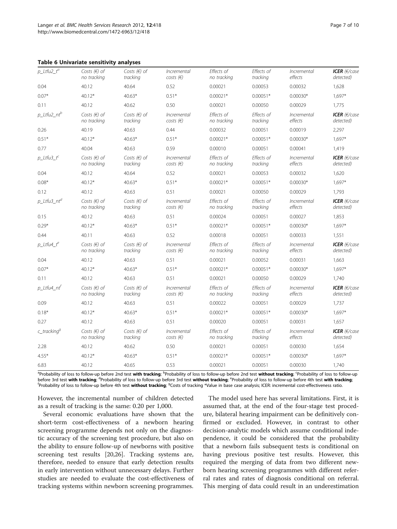<span id="page-6-0"></span>Table 6 Univariate sensitivity analyses

| $p_{t}$ Ltfu $2_{t}$ <sup>a</sup> | Costs $(f)$ of<br>no tracking | Costs $(f)$ of<br>tracking | Incremental<br>$costs$ ( $\in$ ) | Effects of<br>no tracking | Effects of<br>tracking | Incremental<br>effects | ICER ( $\notin$ /case<br>detected)          |
|-----------------------------------|-------------------------------|----------------------------|----------------------------------|---------------------------|------------------------|------------------------|---------------------------------------------|
| 0.04                              | 40.12                         | 40.64                      | 0.52                             | 0.00021                   | 0.00053                | 0.00032                | 1.628                                       |
| $0.07*$                           | $40.12*$                      | $40.63*$                   | $0.51*$                          | $0.00021*$                | $0.00051*$             | $0.00030*$             | $1,697*$                                    |
| 0.11                              | 40.12                         | 40.62                      | 0.50                             | 0.00021                   | 0.00050                | 0.00029                | 1,775                                       |
| $p$ _Ltfu2_nt <sup>b</sup>        | Costs $(f)$ of<br>no tracking | Costs $(f)$ of<br>tracking | Incremental<br>$costs$ ( $\in$ ) | Effects of<br>no tracking | Effects of<br>tracking | Incremental<br>effects | <b>ICER</b> ( $\epsilon$ /case<br>detected) |
| 0.26                              | 40.19                         | 40.63                      | 0.44                             | 0.00032                   | 0.00051                | 0.00019                | 2,297                                       |
| $0.51*$                           | $40.12*$                      | $40.63*$                   | $0.51*$                          | $0.00021*$                | $0.00051*$             | $0.00030*$             | $1,697*$                                    |
| 0.77                              | 40.04                         | 40.63                      | 0.59                             | 0.00010                   | 0.00051                | 0.00041                | 1,419                                       |
| $p$ _Ltfu3_t <sup>c</sup>         | Costs $(f)$ of<br>no tracking | Costs $(f)$ of<br>tracking | Incremental<br>$costs$ ( $\in$ ) | Effects of<br>no tracking | Effects of<br>tracking | Incremental<br>effects | ICER ( $\notin$ /case<br>detected)          |
| 0.04                              | 40.12                         | 40.64                      | 0.52                             | 0.00021                   | 0.00053                | 0.00032                | 1,620                                       |
| $0.08*$                           | $40.12*$                      | $40.63*$                   | $0.51*$                          | $0.00021*$                | $0.00051*$             | $0.00030*$             | $1,697*$                                    |
| 0.12                              | 40.12                         | 40.63                      | 0.51                             | 0.00021                   | 0.00050                | 0.00029                | 1,793                                       |
| p_Ltfu3_nt <sup>d</sup>           | Costs $(f)$ of<br>no tracking | Costs $(f)$ of<br>tracking | Incremental<br>$costs$ ( $\in$ ) | Effects of<br>no tracking | Effects of<br>tracking | Incremental<br>effects | <b>ICER</b> ( $\in$ /case<br>detected)      |
| 0.15                              | 40.12                         | 40.63                      | 0.51                             | 0.00024                   | 0.00051                | 0.00027                | 1,853                                       |
| $0.29*$                           | $40.12*$                      | $40.63*$                   | $0.51*$                          | $0.00021*$                | $0.00051*$             | $0.00030*$             | $1.697*$                                    |
| 0.44                              | 40.11                         | 40.63                      | 0.52                             | 0.00018                   | 0.00051                | 0.00033                | 1,551                                       |
| $p_{t}$ tfu4_ $t^e$               | Costs $(f)$ of<br>no tracking | Costs $(f)$ of<br>tracking | Incremental<br>$costs$ ( $\in$ ) | Effects of<br>no tracking | Effects of<br>tracking | Incremental<br>effects | <b>ICER</b> ( $\in$ /case<br>detected)      |
| 0.04                              | 40.12                         | 40.63                      | 0.51                             | 0.00021                   | 0.00052                | 0.00031                | 1,663                                       |
| $0.07*$                           | $40.12*$                      | $40.63*$                   | $0.51*$                          | $0.00021*$                | $0.00051*$             | $0.00030*$             | $1.697*$                                    |
| 0.11                              | 40.12                         | 40.63                      | 0.51                             | 0.00021                   | 0.00050                | 0.00029                | 1,740                                       |
| p_Ltfu4_nt <sup>f</sup>           | Costs $(f)$ of<br>no tracking | Costs $(f)$ of<br>tracking | Incremental<br>$costs$ ( $\in$ ) | Effects of<br>no tracking | Effects of<br>tracking | Incremental<br>effects | <b>ICER</b> ( $\in$ /case<br>detected)      |
| 0.09                              | 40.12                         | 40.63                      | 0.51                             | 0.00022                   | 0.00051                | 0.00029                | 1,737                                       |
| $0.18*$                           | $40.12*$                      | $40.63*$                   | $0.51*$                          | $0.00021*$                | $0.00051*$             | $0.00030*$             | $1,697*$                                    |
| 0.27                              | 40.12                         | 40.63                      | 0.51                             | 0.00020                   | 0.00051                | 0.00031                | 1,657                                       |
| $c$ _tracking <sup>9</sup>        | Costs $(f)$ of<br>no tracking | Costs $(f)$ of<br>tracking | Incremental<br>$costs$ ( $\in$ ) | Effects of<br>no tracking | Effects of<br>tracking | Incremental<br>effects | <b>ICER</b> ( $\epsilon$ /case<br>detected) |
| 2.28                              | 40.12                         | 40.62                      | 0.50                             | 0.00021                   | 0.00051                | 0.00030                | 1,654                                       |
| $4.55*$                           | $40.12*$                      | $40.63*$                   | $0.51*$                          | $0.00021*$                | $0.00051*$             | $0.00030*$             | 1,697*                                      |
| 6.83                              | 40.12                         | 40.65                      | 0.53                             | 0.00021                   | 0.00051                | 0.00030                | 1,740                                       |

<sup>a</sup>Probability of loss to follow-up before 2nd test **with tracking**; <sup>b</sup>Probability of loss to follow-up before 2nd test **without tracking**; <sup>c</sup>Probability of loss to follow-up before 3rd test **with tracking**; <sup>d</sup>Probability of loss to follow-up before 3rd test **without tracking**; <sup>e</sup>Probability of loss to follow-up before 4th test **with tracking**<br><sup>f</sup>erobability of loss to follow-up before 4th te Probability of loss to follow-up before 4th test without tracking; <sup>9</sup>Costs of tracking \*Value in base case analysis; ICER: incremental cost-effectiveness ratio.

However, the incremental number of children detected as a result of tracking is the same: 0.20 per 1,000.

Several economic evaluations have shown that the short-term cost-effectiveness of a newborn hearing screening programme depends not only on the diagnostic accuracy of the screening test procedure, but also on the ability to ensure follow-up of newborns with positive screening test results [\[20,26](#page-9-0)]. Tracking systems are, therefore, needed to ensure that early detection results in early intervention without unnecessary delays. Further studies are needed to evaluate the cost-effectiveness of tracking systems within newborn screening programmes.

The model used here has several limitations. First, it is assumed that, at the end of the four-stage test procedure, bilateral hearing impairment can be definitively confirmed or excluded. However, in contrast to other decision-analytic models which assume conditional independence, it could be considered that the probability that a newborn fails subsequent tests is conditional on having previous positive test results. However, this required the merging of data from two different newborn hearing screening programmes with different referral rates and rates of diagnosis conditional on referral. This merging of data could result in an underestimation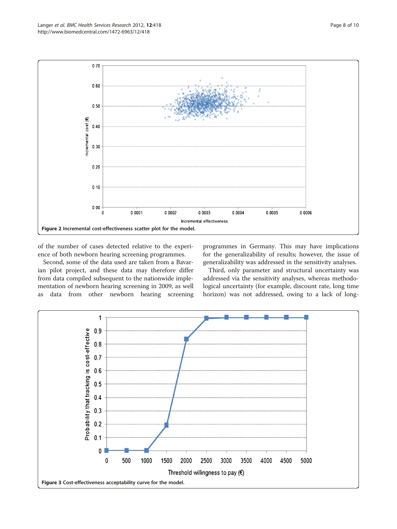<span id="page-7-0"></span>

of the number of cases detected relative to the experience of both newborn hearing screening programmes.

Second, some of the data used are taken from a Bavarian pilot project, and these data may therefore differ from data compiled subsequent to the nationwide implementation of newborn hearing screening in 2009, as well as data from other newborn hearing screening

programmes in Germany. This may have implications for the generalizability of results; however, the issue of generalizability was addressed in the sensitivity analyses.

Third, only parameter and structural uncertainty was addressed via the sensitivity analyses, whereas methodological uncertainty (for example, discount rate, long time horizon) was not addressed, owing to a lack of long-

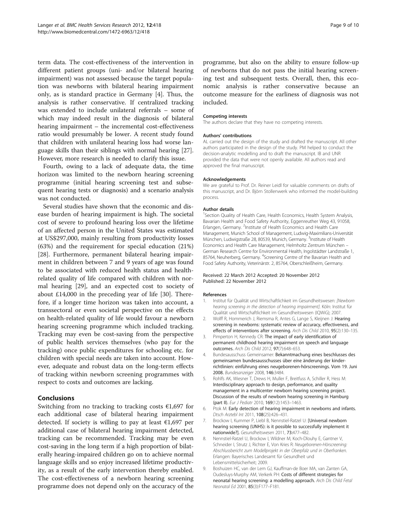<span id="page-8-0"></span>term data. The cost-effectiveness of the intervention in different patient groups (uni- and/or bilateral hearing impairment) was not assessed because the target population was newborns with bilateral hearing impairment only, as is standard practice in Germany [4]. Thus, the analysis is rather conservative. If centralized tracking was extended to include unilateral referrals – some of which may indeed result in the diagnosis of bilateral hearing impairment – the incremental cost-effectiveness ratio would presumably be lower. A recent study found that children with unilateral hearing loss had worse language skills than their siblings with normal hearing [\[27](#page-9-0)]. However, more research is needed to clarify this issue.

Fourth, owing to a lack of adequate data, the time horizon was limited to the newborn hearing screening programme (initial hearing screening test and subsequent hearing tests or diagnosis) and a scenario analysis was not conducted.

Several studies have shown that the economic and disease burden of hearing impairment is high. The societal cost of severe to profound hearing loss over the lifetime of an affected person in the United States was estimated at US\$297,000, mainly resulting from productivity losses (63%) and the requirement for special education (21%) [[28\]](#page-9-0). Furthermore, permanent bilateral hearing impairment in children between 7 and 9 years of age was found to be associated with reduced health status and healthrelated quality of life compared with children with normal hearing [\[29](#page-9-0)], and an expected cost to society of about £14,000 in the preceding year of life [[30\]](#page-9-0). Therefore, if a longer time horizon was taken into account, a transsectoral or even societal perspective on the effects on health-related quality of life would favour a newborn hearing screening programme which included tracking. Tracking may even be cost-saving from the perspective of public health services themselves (who pay for the tracking) once public expenditures for schooling etc. for children with special needs are taken into account. However, adequate and robust data on the long-term effects of tracking within newborn screening programmes with respect to costs and outcomes are lacking.

# Conclusions

Switching from no tracking to tracking costs  $€1,697$  for each additional case of bilateral hearing impairment detected. If society is willing to pay at least  $€1,697$  per additional case of bilateral hearing impairment detected, tracking can be recommended. Tracking may be even cost-saving in the long term if a high proportion of bilaterally hearing-impaired children go on to achieve normal language skills and so enjoy increased lifetime productivity, as a result of the early intervention thereby enabled. The cost-effectiveness of a newborn hearing screening programme does not depend only on the accuracy of the programme, but also on the ability to ensure follow-up of newborns that do not pass the initial hearing screening test and subsequent tests. Overall, then, this economic analysis is rather conservative because an outcome measure for the earliness of diagnosis was not included.

#### Competing interests

The authors declare that they have no competing interests.

#### Authors' contributions

AL carried out the design of the study and drafted the manuscript. All other authors participated in the design of the study. PM helped to conduct the decision-analytic modelling and to draft the manuscript. IB and UNR provided the data that were not openly available. All authors read and approved the final manuscript.

#### Acknowledgements

We are grateful to Prof. Dr. Reiner Leidl for valuable comments on drafts of this manuscript, and Dr. Björn Stollenwerk who informed the model-building process.

#### Author details

<sup>1</sup>Section Quality of Health Care, Health Economics, Health System Analysis, Bavarian Health and Food Safety Authority, Eggenreuther Weg 43, 91058, Erlangen, Germany. <sup>2</sup>Institute of Health Economics and Health Care Management, Munich School of Management, Ludwig-Maximilians-Universität München, Ludwigstraße 28, 80539, Munich, Germany. <sup>3</sup>Institute of Health Economics and Health Care Management, Helmholtz Zentrum München – German Research Centre for Environmental Health, Ingolstädter Landstraße 1, 85764, Neuherberg, Germany. <sup>4</sup>Screening Centre of the Bavarian Health and Food Safety Authority, Veterinärstr. 2, 85764, Oberschleißheim, Germany.

#### Received: 22 March 2012 Accepted: 20 November 2012 Published: 22 November 2012

#### References

- 1. Institut für Qualität und Wirtschaftlichkeit im Gesundheitswesen: [Newborn hearing screening in the detection of hearing impairment]. Köln: Institut für Qualität und Wirtschaftlichkeit im Gesundheitswesen (IQWiG); 2007.
- 2. Wolff R, Hommerich J, Riemsma R, Antes G, Lange S, Kleijnen J: Hearing screening in newborns: systematic review of accuracy, effectiveness, and effects of interventions after screening. Arch Dis Child 2010, 95(2):130–135.
- 3. Pimperton H, Kennedy CR: The impact of early identification of permanent childhood hearing impairment on speech and language outcomes. Arch Dis Child 2012, 97(7):648–653.
- 4. Bundesausschuss Gemeinsamer: Bekanntmachung eines beschlusses des gemeinsamen bundesausschusses über eine änderung der kinderrichtlinien: einführung eines neugeborenen-hörscreenings. Vom 19. Juni 2008. Bundesanzeiger 2008, 146:3484.
- 5. Rohlfs AK, Wiesner T, Drews H, Muller F, Breitfuss A, Schiller R, Hess M: Interdisciplinary approach to design, performance, and quality management in a multicenter newborn hearing screening project. Discussion of the results of newborn hearing screening in Hamburg (part II). Eur J Pediatr 2010, 169(12):1453–1463.
- 6. Ptok M: Early detection of hearing impairment in newborns and infants. Dtsch Arztebl Int 2011, 108(25):426–431.
- 7. Brockow I, Kummer P, Liebl B, Nennstiel-Ratzel U: [Universal newborn hearing screening (UNHS): is it possible to successfully implement it nationwide?]. Gesundheitswesen 2011, 73:477–482.
- 8. Nennstiel-Ratzel U, Brockow I, Wildner M, Koch-Dlouhy E, Gantner V, Schneider I, Strutz J, Richter E, Von Kries R: Neugeborenen-Hörscreening: Abschlussbericht zum Modellprojekt in der Oberpfalz und in Oberfranken. Erlangen: Bayerisches Landesamt für Gesundheit und Lebensmittelsicherheit; 2009.
- 9. Boshuizen HC, van der Lem GJ, Kauffman-de Boer MA, van Zanten GA, Oudesluys-Murphy AM, Verkerk PH: Costs of different strategies for neonatal hearing screening: a modelling approach. Arch Dis Child Fetal Neonatal Ed 2001, 85(3):F177–F181.